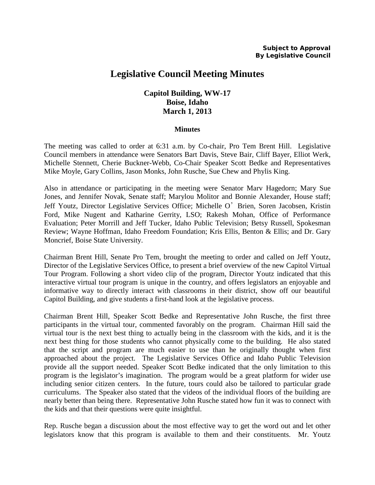# **Legislative Council Meeting Minutes**

## **Capitol Building, WW-17 Boise, Idaho March 1, 2013**

#### **Minutes**

The meeting was called to order at 6:31 a.m. by Co-chair, Pro Tem Brent Hill. Legislative Council members in attendance were Senators Bart Davis, Steve Bair, Cliff Bayer, Elliot Werk, Michelle Stennett, Cherie Buckner-Webb, Co-Chair Speaker Scott Bedke and Representatives Mike Moyle, Gary Collins, Jason Monks, John Rusche, Sue Chew and Phylis King.

Also in attendance or participating in the meeting were Senator Marv Hagedorn; Mary Sue Jones, and Jennifer Novak, Senate staff; Marylou Molitor and Bonnie Alexander, House staff; Jeff Youtz, Director Legislative Services Office; Michelle O'Brien, Soren Jacobsen, Kristin Ford, Mike Nugent and Katharine Gerrity, LSO; Rakesh Mohan, Office of Performance Evaluation; Peter Morrill and Jeff Tucker, Idaho Public Television; Betsy Russell, Spokesman Review; Wayne Hoffman, Idaho Freedom Foundation; Kris Ellis, Benton & Ellis; and Dr. Gary Moncrief, Boise State University.

Chairman Brent Hill, Senate Pro Tem, brought the meeting to order and called on Jeff Youtz, Director of the Legislative Services Office, to present a brief overview of the new Capitol Virtual Tour Program. Following a short video clip of the program, Director Youtz indicated that this interactive virtual tour program is unique in the country, and offers legislators an enjoyable and informative way to directly interact with classrooms in their district, show off our beautiful Capitol Building, and give students a first-hand look at the legislative process.

Chairman Brent Hill, Speaker Scott Bedke and Representative John Rusche, the first three participants in the virtual tour, commented favorably on the program. Chairman Hill said the virtual tour is the next best thing to actually being in the classroom with the kids, and it is the next best thing for those students who cannot physically come to the building. He also stated that the script and program are much easier to use than he originally thought when first approached about the project. The Legislative Services Office and Idaho Public Television provide all the support needed. Speaker Scott Bedke indicated that the only limitation to this program is the legislator's imagination. The program would be a great platform for wider use including senior citizen centers. In the future, tours could also be tailored to particular grade curriculums. The Speaker also stated that the videos of the individual floors of the building are nearly better than being there. Representative John Rusche stated how fun it was to connect with the kids and that their questions were quite insightful.

Rep. Rusche began a discussion about the most effective way to get the word out and let other legislators know that this program is available to them and their constituents. Mr. Youtz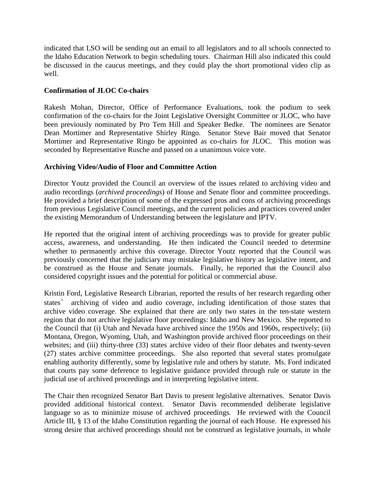indicated that LSO will be sending out an email to all legislators and to all schools connected to the Idaho Education Network to begin scheduling tours. Chairman Hill also indicated this could be discussed in the caucus meetings, and they could play the short promotional video clip as well.

### **Confirmation of JLOC Co-chairs**

Rakesh Mohan, Director, Office of Performance Evaluations, took the podium to seek confirmation of the co-chairs for the Joint Legislative Oversight Committee or JLOC, who have been previously nominated by Pro Tem Hill and Speaker Bedke. The nominees are Senator Dean Mortimer and Representative Shirley Ringo. Senator Steve Bair moved that Senator Mortimer and Representative Ringo be appointed as co-chairs for JLOC. This motion was seconded by Representative Rusche and passed on a unanimous voice vote.

### **Archiving Video/Audio of Floor and Committee Action**

Director Youtz provided the Council an overview of the issues related to archiving video and audio recordings (*archived proceedings*) of House and Senate floor and committee proceedings. He provided a brief description of some of the expressed pros and cons of archiving proceedings from previous Legislative Council meetings, and the current policies and practices covered under the existing Memorandum of Understanding between the legislature and IPTV.

He reported that the original intent of archiving proceedings was to provide for greater public access, awareness, and understanding. He then indicated the Council needed to determine whether to permanently archive this coverage. Director Youtz reported that the Council was previously concerned that the judiciary may mistake legislative history as legislative intent, and be construed as the House and Senate journals. Finally, he reported that the Council also considered copyright issues and the potential for political or commercial abuse.

Kristin Ford, Legislative Research Librarian, reported the results of her research regarding other states' archiving of video and audio coverage, including identification of those states that archive video coverage. She explained that there are only two states in the ten-state western region that do not archive legislative floor proceedings: Idaho and New Mexico. She reported to the Council that (i) Utah and Nevada have archived since the 1950s and 1960s, respectively; (ii) Montana, Oregon, Wyoming, Utah, and Washington provide archived floor proceedings on their websites; and (iii) thirty-three (33) states archive video of their floor debates and twenty-seven (27) states archive committee proceedings. She also reported that several states promulgate enabling authority differently, some by legislative rule and others by statute. Ms. Ford indicated that courts pay some deference to legislative guidance provided through rule or statute in the judicial use of archived proceedings and in interpreting legislative intent.

The Chair then recognized Senator Bart Davis to present legislative alternatives. Senator Davis provided additional historical context. Senator Davis recommended deliberate legislative language so as to minimize misuse of archived proceedings. He reviewed with the Council Article III, § 13 of the Idaho Constitution regarding the journal of each House. He expressed his strong desire that archived proceedings should not be construed as legislative journals, in whole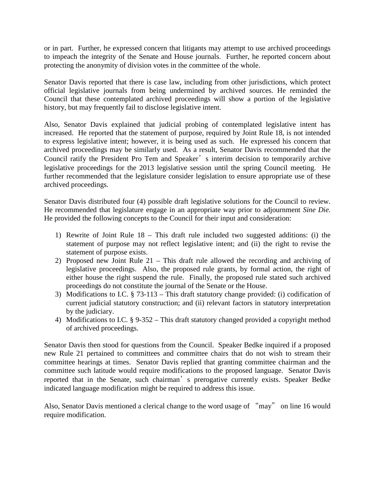or in part. Further, he expressed concern that litigants may attempt to use archived proceedings to impeach the integrity of the Senate and House journals. Further, he reported concern about protecting the anonymity of division votes in the committee of the whole.

Senator Davis reported that there is case law, including from other jurisdictions, which protect official legislative journals from being undermined by archived sources. He reminded the Council that these contemplated archived proceedings will show a portion of the legislative history, but may frequently fail to disclose legislative intent.

Also, Senator Davis explained that judicial probing of contemplated legislative intent has increased. He reported that the statement of purpose, required by Joint Rule 18, is not intended to express legislative intent; however, it is being used as such. He expressed his concern that archived proceedings may be similarly used. As a result, Senator Davis recommended that the Council ratify the President Pro Tem and Speaker's interim decision to temporarily archive legislative proceedings for the 2013 legislative session until the spring Council meeting. He further recommended that the legislature consider legislation to ensure appropriate use of these archived proceedings.

Senator Davis distributed four (4) possible draft legislative solutions for the Council to review. He recommended that legislature engage in an appropriate way prior to adjournment *Sine Die.* He provided the following concepts to the Council for their input and consideration:

- 1) Rewrite of Joint Rule 18 This draft rule included two suggested additions: (i) the statement of purpose may not reflect legislative intent; and (ii) the right to revise the statement of purpose exists.
- 2) Proposed new Joint Rule 21 This draft rule allowed the recording and archiving of legislative proceedings. Also, the proposed rule grants, by formal action, the right of either house the right suspend the rule. Finally, the proposed rule stated such archived proceedings do not constitute the journal of the Senate or the House.
- 3) Modifications to I.C. § 73-113 This draft statutory change provided: (i) codification of current judicial statutory construction; and (ii) relevant factors in statutory interpretation by the judiciary.
- 4) Modifications to I.C. § 9-352 This draft statutory changed provided a copyright method of archived proceedings.

Senator Davis then stood for questions from the Council. Speaker Bedke inquired if a proposed new Rule 21 pertained to committees and committee chairs that do not wish to stream their committee hearings at times. Senator Davis replied that granting committee chairman and the committee such latitude would require modifications to the proposed language. Senator Davis reported that in the Senate, such chairman's prerogative currently exists. Speaker Bedke indicated language modification might be required to address this issue.

Also, Senator Davis mentioned a clerical change to the word usage of "may" on line 16 would require modification.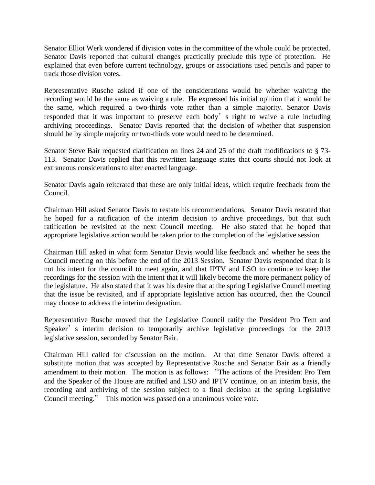Senator Elliot Werk wondered if division votes in the committee of the whole could be protected. Senator Davis reported that cultural changes practically preclude this type of protection. He explained that even before current technology, groups or associations used pencils and paper to track those division votes.

Representative Rusche asked if one of the considerations would be whether waiving the recording would be the same as waiving a rule. He expressed his initial opinion that it would be the same, which required a two-thirds vote rather than a simple majority. Senator Davis responded that it was important to preserve each body's right to waive a rule including archiving proceedings. Senator Davis reported that the decision of whether that suspension should be by simple majority or two-thirds vote would need to be determined.

Senator Steve Bair requested clarification on lines 24 and 25 of the draft modifications to § 73- 113. Senator Davis replied that this rewritten language states that courts should not look at extraneous considerations to alter enacted language.

Senator Davis again reiterated that these are only initial ideas, which require feedback from the Council.

Chairman Hill asked Senator Davis to restate his recommendations. Senator Davis restated that he hoped for a ratification of the interim decision to archive proceedings, but that such ratification be revisited at the next Council meeting. He also stated that he hoped that appropriate legislative action would be taken prior to the completion of the legislative session.

Chairman Hill asked in what form Senator Davis would like feedback and whether he sees the Council meeting on this before the end of the 2013 Session. Senator Davis responded that it is not his intent for the council to meet again, and that IPTV and LSO to continue to keep the recordings for the session with the intent that it will likely become the more permanent policy of the legislature. He also stated that it was his desire that at the spring Legislative Council meeting that the issue be revisited, and if appropriate legislative action has occurred, then the Council may choose to address the interim designation.

Representative Rusche moved that the Legislative Council ratify the President Pro Tem and Speaker's interim decision to temporarily archive legislative proceedings for the 2013 legislative session, seconded by Senator Bair.

Chairman Hill called for discussion on the motion. At that time Senator Davis offered a substitute motion that was accepted by Representative Rusche and Senator Bair as a friendly amendment to their motion. The motion is as follows: "The actions of the President Pro Tem and the Speaker of the House are ratified and LSO and IPTV continue, on an interim basis, the recording and archiving of the session subject to a final decision at the spring Legislative Council meeting." This motion was passed on a unanimous voice vote.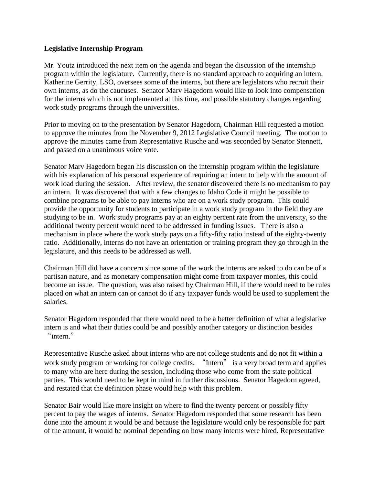#### **Legislative Internship Program**

Mr. Youtz introduced the next item on the agenda and began the discussion of the internship program within the legislature. Currently, there is no standard approach to acquiring an intern. Katherine Gerrity, LSO, oversees some of the interns, but there are legislators who recruit their own interns, as do the caucuses. Senator Marv Hagedorn would like to look into compensation for the interns which is not implemented at this time, and possible statutory changes regarding work study programs through the universities.

Prior to moving on to the presentation by Senator Hagedorn, Chairman Hill requested a motion to approve the minutes from the November 9, 2012 Legislative Council meeting. The motion to approve the minutes came from Representative Rusche and was seconded by Senator Stennett, and passed on a unanimous voice vote.

Senator Marv Hagedorn began his discussion on the internship program within the legislature with his explanation of his personal experience of requiring an intern to help with the amount of work load during the session. After review, the senator discovered there is no mechanism to pay an intern. It was discovered that with a few changes to Idaho Code it might be possible to combine programs to be able to pay interns who are on a work study program. This could provide the opportunity for students to participate in a work study program in the field they are studying to be in. Work study programs pay at an eighty percent rate from the university, so the additional twenty percent would need to be addressed in funding issues. There is also a mechanism in place where the work study pays on a fifty-fifty ratio instead of the eighty-twenty ratio. Additionally, interns do not have an orientation or training program they go through in the legislature, and this needs to be addressed as well.

Chairman Hill did have a concern since some of the work the interns are asked to do can be of a partisan nature, and as monetary compensation might come from taxpayer monies, this could become an issue. The question, was also raised by Chairman Hill, if there would need to be rules placed on what an intern can or cannot do if any taxpayer funds would be used to supplement the salaries.

Senator Hagedorn responded that there would need to be a better definition of what a legislative intern is and what their duties could be and possibly another category or distinction besides "intern."

Representative Rusche asked about interns who are not college students and do not fit within a work study program or working for college credits. "Intern" is a very broad term and applies to many who are here during the session, including those who come from the state political parties. This would need to be kept in mind in further discussions. Senator Hagedorn agreed, and restated that the definition phase would help with this problem.

Senator Bair would like more insight on where to find the twenty percent or possibly fifty percent to pay the wages of interns. Senator Hagedorn responded that some research has been done into the amount it would be and because the legislature would only be responsible for part of the amount, it would be nominal depending on how many interns were hired. Representative